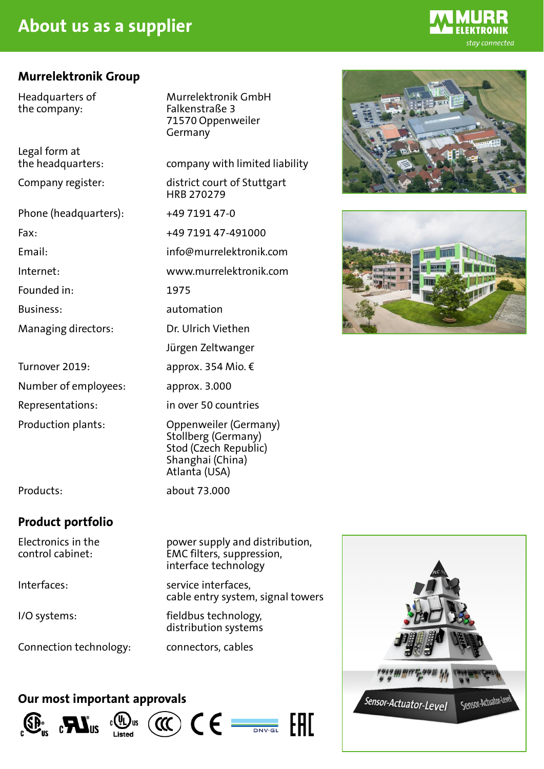# **About us as a supplier**

### **Murrelektronik Group**

the company: Falkenstraße 3

Legal form at

Phone (headquarters): +49 7191 47-0

Founded in: 1975

Managing directors: Dr. Ulrich Viethen

Number of employees: approx. 3.000

Headquarters of Murrelektronik GmbH 71570 Oppenweiler Germany

the headquarters: company with limited liability

Company register: district court of Stuttgart HRB 270279

Fax: +49 7191 47-491000

Email: info@murrelektronik.com

Internet: www.murrelektronik.com

Business: automation

Jürgen Zeltwanger

Turnover 2019: approx. 354 Mio. €

Representations: in over 50 countries

Production plants: Oppenweiler (Germany) Stollberg (Germany) Stod (Czech Republic) Shanghai (China) Atlanta (USA)

## **Product portfolio**

Interfaces: service interfaces,

Products: about 73.000

Electronics in the power supply and distribution, control cabinet: EMC filters, suppression,

interface technology

cable entry system, signal towers

 $C \in \frac{1}{\sqrt{C}}$ 

FHT

I/O systems: fieldbus technology, distribution systems

Connection technology: connectors, cables

### **Our most important approvals**





 $\alpha$ 





FKTRONIK stay connected